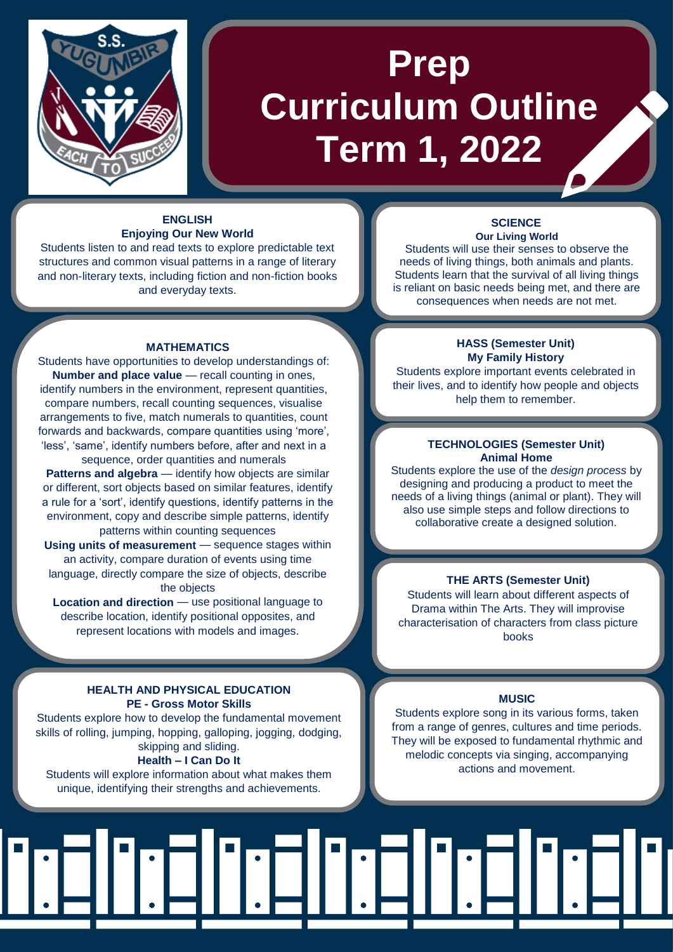

# **Prep Curriculum Outline Term 1, 2022**

#### **ENGLISH Enjoying Our New World**

Students listen to and read texts to explore predictable text structures and common visual patterns in a range of literary and non-literary texts, including fiction and non-fiction books and everyday texts.

#### **MATHEMATICS**

Students have opportunities to develop understandings of: **Number and place value** — recall counting in ones, identify numbers in the environment, represent quantities, compare numbers, recall counting sequences, visualise arrangements to five, match numerals to quantities, count forwards and backwards, compare quantities using 'more', 'less', 'same', identify numbers before, after and next in a sequence, order quantities and numerals

**Patterns and algebra** — identify how objects are similar or different, sort objects based on similar features, identify a rule for a 'sort', identify questions, identify patterns in the environment, copy and describe simple patterns, identify patterns within counting sequences

**Using units of measurement** — sequence stages within an activity, compare duration of events using time language, directly compare the size of objects, describe the objects

**Location and direction** — use positional language to describe location, identify positional opposites, and represent locations with models and images.

## **HEALTH AND PHYSICAL EDUCATION PE - Gross Motor Skills**

Students explore how to develop the fundamental movement skills of rolling, jumping, hopping, galloping, jogging, dodging, skipping and sliding. **Health – I Can Do It**

Students will explore information about what makes them unique, identifying their strengths and achievements.

#### **SCIENCE Our Living World**

Students will use their senses to observe the needs of living things, both animals and plants. Students learn that the survival of all living things is reliant on basic needs being met, and there are consequences when needs are not met.

## **HASS (Semester Unit) My Family History**

Students explore important events celebrated in their lives, and to identify how people and objects help them to remember.

#### **TECHNOLOGIES (Semester Unit) Animal Home**

Students explore the use of the *design process* by designing and producing a product to meet the needs of a living things (animal or plant). They will also use simple steps and follow directions to collaborative create a designed solution.

#### **THE ARTS (Semester Unit)**

Students will learn about different aspects of Drama within The Arts. They will improvise characterisation of characters from class picture books

# **MUSIC**

Students explore song in its various forms, taken from a range of genres, cultures and time periods. They will be exposed to fundamental rhythmic and melodic concepts via singing, accompanying actions and movement.

# dridr: **TIIT**